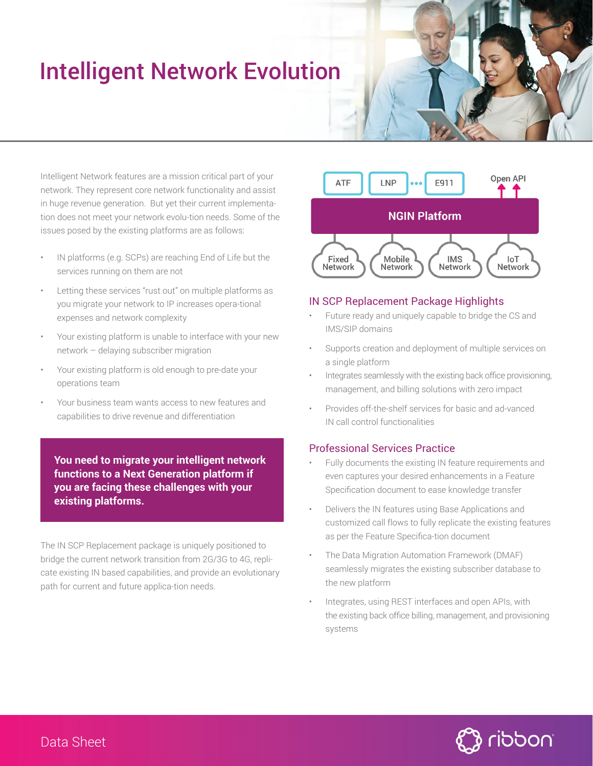# Intelligent Network Evolution

Intelligent Network features are a mission critical part of your network. They represent core network functionality and assist in huge revenue generation. But yet their current implementation does not meet your network evolu-tion needs. Some of the issues posed by the existing platforms are as follows:

- IN platforms (e.g. SCPs) are reaching End of Life but the services running on them are not
- Letting these services "rust out" on multiple platforms as you migrate your network to IP increases opera-tional expenses and network complexity
- Your existing platform is unable to interface with your new network – delaying subscriber migration
- Your existing platform is old enough to pre-date your operations team
- Your business team wants access to new features and capabilities to drive revenue and differentiation

**You need to migrate your intelligent network functions to a Next Generation platform if you are facing these challenges with your existing platforms.**

The IN SCP Replacement package is uniquely positioned to bridge the current network transition from 2G/3G to 4G, replicate existing IN based capabilities, and provide an evolutionary path for current and future applica-tion needs.



#### IN SCP Replacement Package Highlights

- Future ready and uniquely capable to bridge the CS and IMS/SIP domains
- Supports creation and deployment of multiple services on a single platform
- Integrates seamlessly with the existing back office provisioning, management, and billing solutions with zero impact
- Provides off-the-shelf services for basic and ad-vanced IN call control functionalities

#### Professional Services Practice

- Fully documents the existing IN feature requirements and even captures your desired enhancements in a Feature Specification document to ease knowledge transfer
- Delivers the IN features using Base Applications and customized call flows to fully replicate the existing features as per the Feature Specifica-tion document
- The Data Migration Automation Framework (DMAF) seamlessly migrates the existing subscriber database to the new platform
- Integrates, using REST interfaces and open APIs, with the existing back office billing, management, and provisioning systems